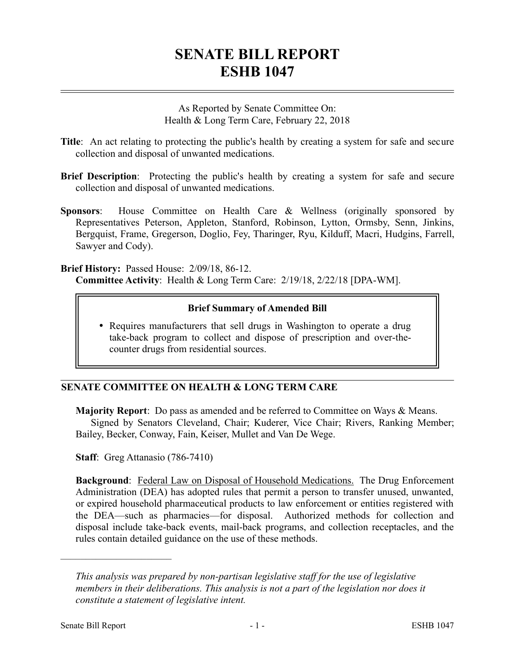# **SENATE BILL REPORT ESHB 1047**

As Reported by Senate Committee On: Health & Long Term Care, February 22, 2018

- **Title**: An act relating to protecting the public's health by creating a system for safe and secure collection and disposal of unwanted medications.
- **Brief Description**: Protecting the public's health by creating a system for safe and secure collection and disposal of unwanted medications.
- **Sponsors**: House Committee on Health Care & Wellness (originally sponsored by Representatives Peterson, Appleton, Stanford, Robinson, Lytton, Ormsby, Senn, Jinkins, Bergquist, Frame, Gregerson, Doglio, Fey, Tharinger, Ryu, Kilduff, Macri, Hudgins, Farrell, Sawyer and Cody).

**Brief History:** Passed House: 2/09/18, 86-12. **Committee Activity**: Health & Long Term Care: 2/19/18, 2/22/18 [DPA-WM].

## **Brief Summary of Amended Bill**

• Requires manufacturers that sell drugs in Washington to operate a drug take-back program to collect and dispose of prescription and over-thecounter drugs from residential sources.

## **SENATE COMMITTEE ON HEALTH & LONG TERM CARE**

**Majority Report**: Do pass as amended and be referred to Committee on Ways & Means. Signed by Senators Cleveland, Chair; Kuderer, Vice Chair; Rivers, Ranking Member; Bailey, Becker, Conway, Fain, Keiser, Mullet and Van De Wege.

**Staff**: Greg Attanasio (786-7410)

**Background**: Federal Law on Disposal of Household Medications. The Drug Enforcement Administration (DEA) has adopted rules that permit a person to transfer unused, unwanted, or expired household pharmaceutical products to law enforcement or entities registered with the DEA—such as pharmacies—for disposal. Authorized methods for collection and disposal include take-back events, mail-back programs, and collection receptacles, and the rules contain detailed guidance on the use of these methods.

––––––––––––––––––––––

*This analysis was prepared by non-partisan legislative staff for the use of legislative members in their deliberations. This analysis is not a part of the legislation nor does it constitute a statement of legislative intent.*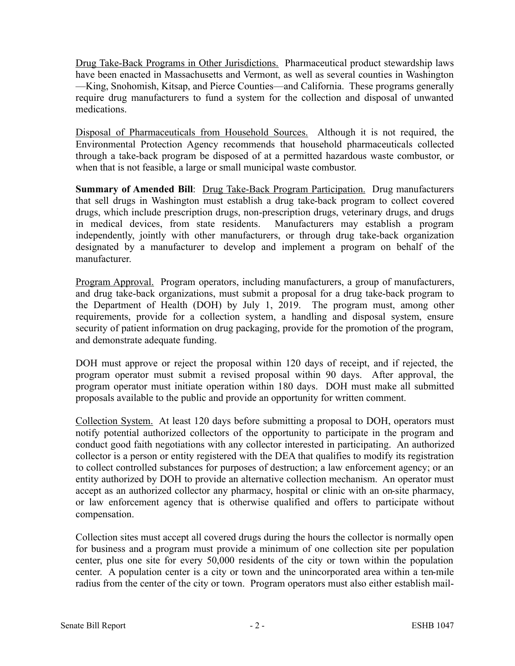Drug Take-Back Programs in Other Jurisdictions. Pharmaceutical product stewardship laws have been enacted in Massachusetts and Vermont, as well as several counties in Washington —King, Snohomish, Kitsap, and Pierce Counties—and California. These programs generally require drug manufacturers to fund a system for the collection and disposal of unwanted medications.

Disposal of Pharmaceuticals from Household Sources. Although it is not required, the Environmental Protection Agency recommends that household pharmaceuticals collected through a take-back program be disposed of at a permitted hazardous waste combustor, or when that is not feasible, a large or small municipal waste combustor.

**Summary of Amended Bill:** Drug Take-Back Program Participation. Drug manufacturers that sell drugs in Washington must establish a drug take-back program to collect covered drugs, which include prescription drugs, non-prescription drugs, veterinary drugs, and drugs in medical devices, from state residents. Manufacturers may establish a program independently, jointly with other manufacturers, or through drug take-back organization designated by a manufacturer to develop and implement a program on behalf of the manufacturer.

Program Approval. Program operators, including manufacturers, a group of manufacturers, and drug take-back organizations, must submit a proposal for a drug take-back program to the Department of Health (DOH) by July 1, 2019. The program must, among other requirements, provide for a collection system, a handling and disposal system, ensure security of patient information on drug packaging, provide for the promotion of the program, and demonstrate adequate funding.

DOH must approve or reject the proposal within 120 days of receipt, and if rejected, the program operator must submit a revised proposal within 90 days. After approval, the program operator must initiate operation within 180 days. DOH must make all submitted proposals available to the public and provide an opportunity for written comment.

Collection System. At least 120 days before submitting a proposal to DOH, operators must notify potential authorized collectors of the opportunity to participate in the program and conduct good faith negotiations with any collector interested in participating. An authorized collector is a person or entity registered with the DEA that qualifies to modify its registration to collect controlled substances for purposes of destruction; a law enforcement agency; or an entity authorized by DOH to provide an alternative collection mechanism. An operator must accept as an authorized collector any pharmacy, hospital or clinic with an on-site pharmacy, or law enforcement agency that is otherwise qualified and offers to participate without compensation.

Collection sites must accept all covered drugs during the hours the collector is normally open for business and a program must provide a minimum of one collection site per population center, plus one site for every 50,000 residents of the city or town within the population center. A population center is a city or town and the unincorporated area within a ten-mile radius from the center of the city or town. Program operators must also either establish mail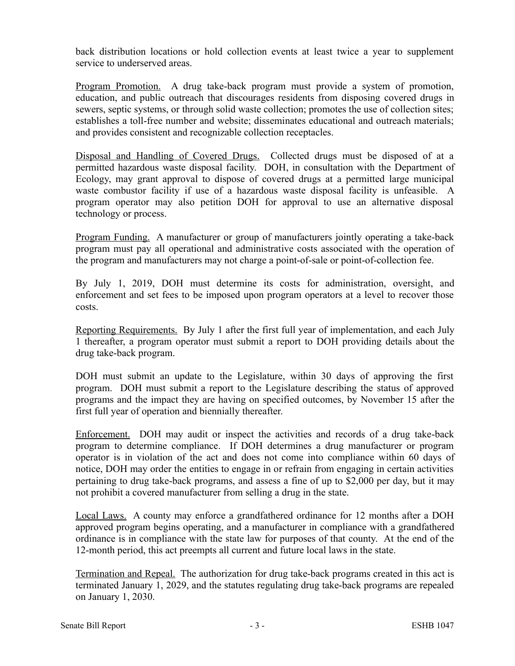back distribution locations or hold collection events at least twice a year to supplement service to underserved areas.

Program Promotion. A drug take-back program must provide a system of promotion, education, and public outreach that discourages residents from disposing covered drugs in sewers, septic systems, or through solid waste collection; promotes the use of collection sites; establishes a toll-free number and website; disseminates educational and outreach materials; and provides consistent and recognizable collection receptacles.

Disposal and Handling of Covered Drugs. Collected drugs must be disposed of at a permitted hazardous waste disposal facility. DOH, in consultation with the Department of Ecology, may grant approval to dispose of covered drugs at a permitted large municipal waste combustor facility if use of a hazardous waste disposal facility is unfeasible. A program operator may also petition DOH for approval to use an alternative disposal technology or process.

Program Funding. A manufacturer or group of manufacturers jointly operating a take-back program must pay all operational and administrative costs associated with the operation of the program and manufacturers may not charge a point-of-sale or point-of-collection fee.

By July 1, 2019, DOH must determine its costs for administration, oversight, and enforcement and set fees to be imposed upon program operators at a level to recover those costs.

Reporting Requirements. By July 1 after the first full year of implementation, and each July 1 thereafter, a program operator must submit a report to DOH providing details about the drug take-back program.

DOH must submit an update to the Legislature, within 30 days of approving the first program. DOH must submit a report to the Legislature describing the status of approved programs and the impact they are having on specified outcomes, by November 15 after the first full year of operation and biennially thereafter.

Enforcement. DOH may audit or inspect the activities and records of a drug take-back program to determine compliance. If DOH determines a drug manufacturer or program operator is in violation of the act and does not come into compliance within 60 days of notice, DOH may order the entities to engage in or refrain from engaging in certain activities pertaining to drug take-back programs, and assess a fine of up to \$2,000 per day, but it may not prohibit a covered manufacturer from selling a drug in the state.

Local Laws. A county may enforce a grandfathered ordinance for 12 months after a DOH approved program begins operating, and a manufacturer in compliance with a grandfathered ordinance is in compliance with the state law for purposes of that county. At the end of the 12-month period, this act preempts all current and future local laws in the state.

Termination and Repeal. The authorization for drug take-back programs created in this act is terminated January 1, 2029, and the statutes regulating drug take-back programs are repealed on January 1, 2030.